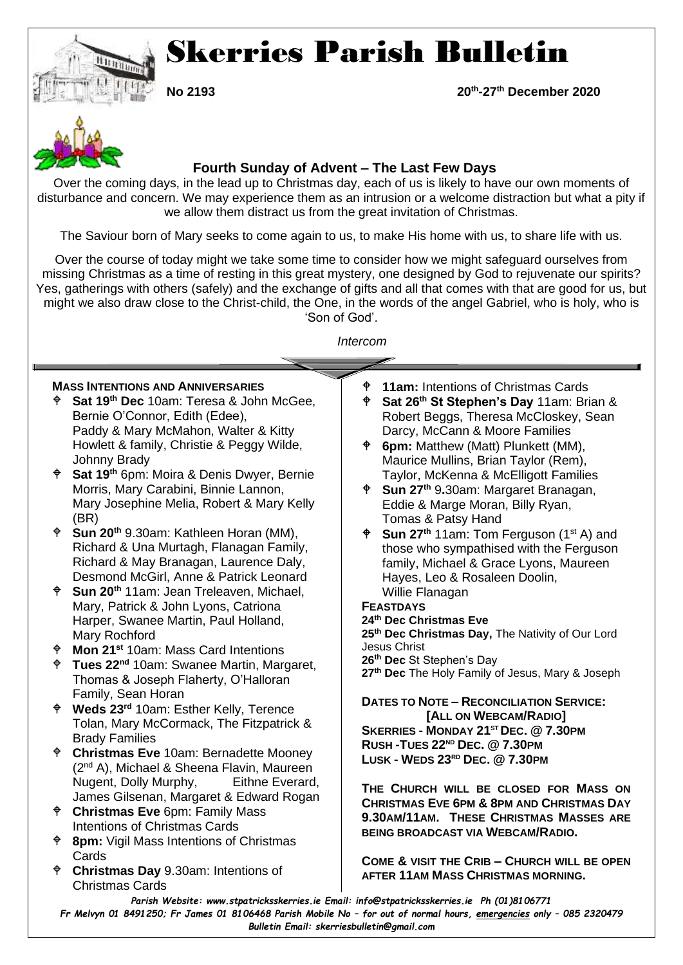

# Skerries Parish Bulletin

**No 2193** 

**-27th December 2020**



## **Fourth Sunday of Advent – The Last Few Days**

Over the coming days, in the lead up to Christmas day, each of us is likely to have our own moments of disturbance and concern. We may experience them as an intrusion or a welcome distraction but what a pity if we allow them distract us from the great invitation of Christmas.

The Saviour born of Mary seeks to come again to us, to make His home with us, to share life with us.

Over the course of today might we take some time to consider how we might safeguard ourselves from missing Christmas as a time of resting in this great mystery, one designed by God to rejuvenate our spirits? Yes, gatherings with others (safely) and the exchange of gifts and all that comes with that are good for us, but might we also draw close to the Christ-child, the One, in the words of the angel Gabriel, who is holy, who is 'Son of God'.

*Intercom*

## **MASS INTENTIONS AND ANNIVERSARIES**

- **Sat 19th Dec** 10am: Teresa & John McGee, Bernie O'Connor, Edith (Edee), Paddy & Mary McMahon, Walter & Kitty Howlett & family, Christie & Peggy Wilde, Johnny Brady
- **Sat 19th** 6pm: Moira & Denis Dwyer, Bernie Morris, Mary Carabini, Binnie Lannon, Mary Josephine Melia, Robert & Mary Kelly (BR)
- **Sun 20th** 9.30am: Kathleen Horan (MM), Richard & Una Murtagh, Flanagan Family, Richard & May Branagan, Laurence Daly, Desmond McGirl, Anne & Patrick Leonard
- **Sun 20th** 11am: Jean Treleaven, Michael, Mary, Patrick & John Lyons, Catriona Harper, Swanee Martin, Paul Holland, Mary Rochford
- **Mon 21st** 10am: Mass Card Intentions
- **Tues 22nd** 10am: Swanee Martin, Margaret, Thomas & Joseph Flaherty, O'Halloran Family, Sean Horan
- **Weds 23rd** 10am: Esther Kelly, Terence Tolan, Mary McCormack, The Fitzpatrick & Brady Families
- **Christmas Eve** 10am: Bernadette Mooney (2nd A), Michael & Sheena Flavin, Maureen Nugent, Dolly Murphy, Eithne Everard, James Gilsenan, Margaret & Edward Rogan
- **Christmas Eve** 6pm: Family Mass Intentions of Christmas Cards
- **8pm:** Vigil Mass Intentions of Christmas **Cards**
- **Christmas Day** 9.30am: Intentions of Christmas Cards
- **11am:** Intentions of Christmas Cards
- **Sat 26th St Stephen's Day** 11am: Brian & Robert Beggs, Theresa McCloskey, Sean Darcy, McCann & Moore Families
- **6pm:** Matthew (Matt) Plunkett (MM), Maurice Mullins, Brian Taylor (Rem), Taylor, McKenna & McElligott Families
- **Sun 27th** 9**.**30am: Margaret Branagan, Eddie & Marge Moran, Billy Ryan, Tomas & Patsy Hand
- $\bullet$  Sun 27<sup>th</sup> 11am: Tom Ferguson (1<sup>st</sup> A) and those who sympathised with the Ferguson family, Michael & Grace Lyons, Maureen Hayes, Leo & Rosaleen Doolin, Willie Flanagan
- **FEASTDAYS 24th Dec Christmas Eve 25th Dec Christmas Day,** The Nativity of Our Lord Jesus Christ **26th Dec** St Stephen's Day **27th Dec** The Holy Family of Jesus, Mary & Joseph

### **DATES TO NOTE – RECONCILIATION SERVICE: [ALL ON WEBCAM/RADIO]**

**SKERRIES - MONDAY 21STDEC. @ 7.30PM RUSH -TUES 22ND DEC. @ 7.30PM LUSK - WEDS 23RD DEC. @ 7.30PM**

**THE CHURCH WILL BE CLOSED FOR MASS ON CHRISTMAS EVE 6PM & 8PM AND CHRISTMAS DAY 9.30AM/11AM. THESE CHRISTMAS MASSES ARE BEING BROADCAST VIA WEBCAM/RADIO.**

**COME & VISIT THE CRIB – CHURCH WILL BE OPEN AFTER 11AM MASS CHRISTMAS MORNING.**

*Parish Website: www[.stpatricksskerries.ie](mailto:stpatricksskerries.ie) Email: [info@stpatricksskerries.ie](mailto:info@stpatricksskerries.ie) Ph (01)8106771*

*Fr Melvyn 01 8491250; Fr James 01 8106468 Parish Mobile No – for out of normal hours, emergencies only – 085 2320479 Bulletin Email: skerriesbulletin@gmail.com*